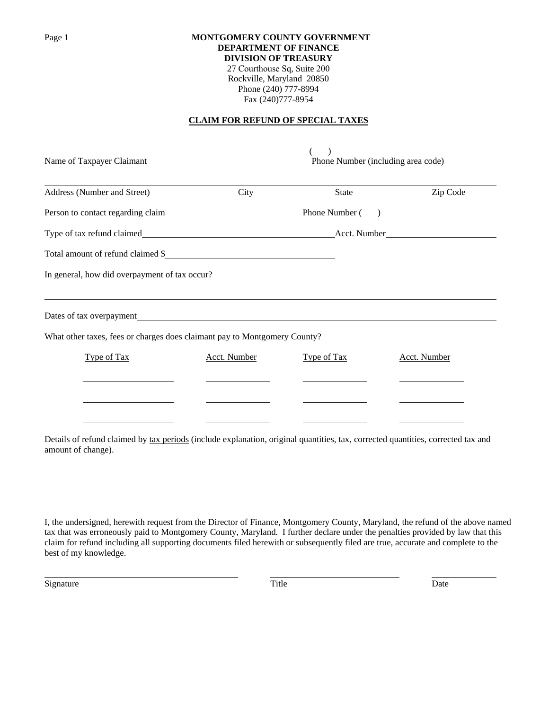## Page 1 **MONTGOMERY COUNTY GOVERNMENT DEPARTMENT OF FINANCE DIVISION OF TREASURY**

27 Courthouse Sq, Suite 200 Rockville, Maryland 20850 Phone (240) 777-8994 Fax (240)777-8954

# **CLAIM FOR REFUND OF SPECIAL TAXES**

| Name of Taxpayer Claimant                                                 |                     | Phone Number (including area code) |                     |  |  |
|---------------------------------------------------------------------------|---------------------|------------------------------------|---------------------|--|--|
| Address (Number and Street)                                               | City                | <b>State</b>                       | Zip Code            |  |  |
| Person to contact regarding claim Phone Number (2014)                     |                     |                                    |                     |  |  |
|                                                                           |                     |                                    |                     |  |  |
| Total amount of refund claimed \$                                         |                     |                                    |                     |  |  |
| In general, how did overpayment of tax occur?                             |                     |                                    |                     |  |  |
| Dates of tax overpayment                                                  |                     |                                    |                     |  |  |
| What other taxes, fees or charges does claimant pay to Montgomery County? |                     |                                    |                     |  |  |
| Type of Tax                                                               | <b>Acct.</b> Number | Type of Tax                        | <b>Acct.</b> Number |  |  |
|                                                                           |                     |                                    |                     |  |  |
|                                                                           |                     |                                    |                     |  |  |
|                                                                           |                     |                                    |                     |  |  |

Details of refund claimed by tax periods (include explanation, original quantities, tax, corrected quantities, corrected tax and amount of change).

I, the undersigned, herewith request from the Director of Finance, Montgomery County, Maryland, the refund of the above named tax that was erroneously paid to Montgomery County, Maryland. I further declare under the penalties provided by law that this claim for refund including all supporting documents filed herewith or subsequently filed are true, accurate and complete to the best of my knowledge.

Signature Title Date